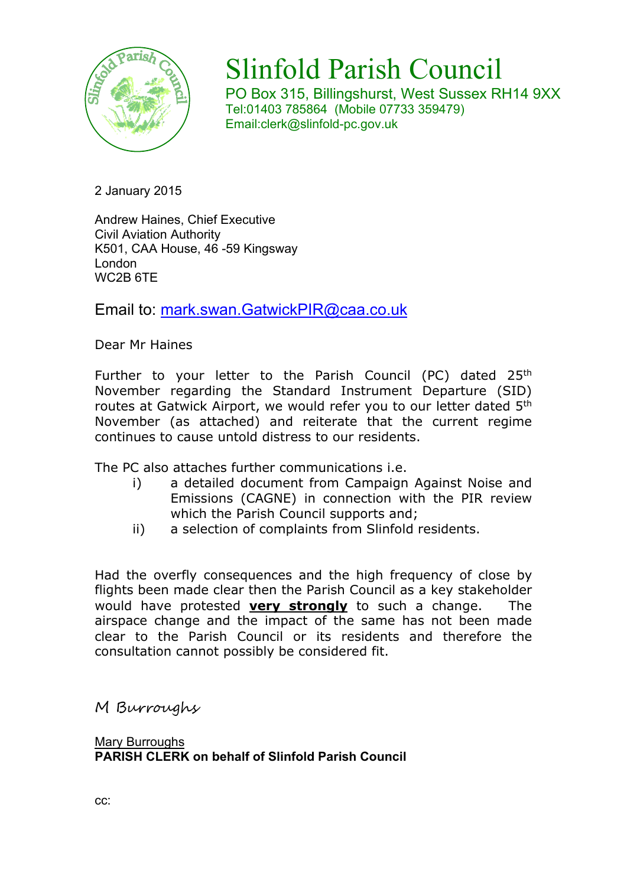

## Slinfold Parish Council

PO Box 315, Billingshurst, West Sussex RH14 9XX Tel:01403 785864 (Mobile 07733 359479) Email:clerk@slinfold-pc.gov.uk

2 January 2015

Andrew Haines, Chief Executive Civil Aviation Authority K501, CAA House, 46 -59 Kingsway London WC2B 6TE

Email to: [mark.swan.GatwickPIR@caa.co.uk](mailto:mark.swan.GatwickPIR@caa.co.uk)

Dear Mr Haines

Further to your letter to the Parish Council (PC) dated 25<sup>th</sup> November regarding the Standard Instrument Departure (SID) routes at Gatwick Airport, we would refer you to our letter dated 5th November (as attached) and reiterate that the current regime continues to cause untold distress to our residents.

The PC also attaches further communications i.e.

- i) a detailed document from Campaign Against Noise and Emissions (CAGNE) in connection with the PIR review which the Parish Council supports and:
- ii) a selection of complaints from Slinfold residents.

Had the overfly consequences and the high frequency of close by flights been made clear then the Parish Council as a key stakeholder would have protested **very strongly** to such a change. airspace change and the impact of the same has not been made clear to the Parish Council or its residents and therefore the consultation cannot possibly be considered fit.

M Burroughs

Mary Burroughs **PARISH CLERK on behalf of Slinfold Parish Council**